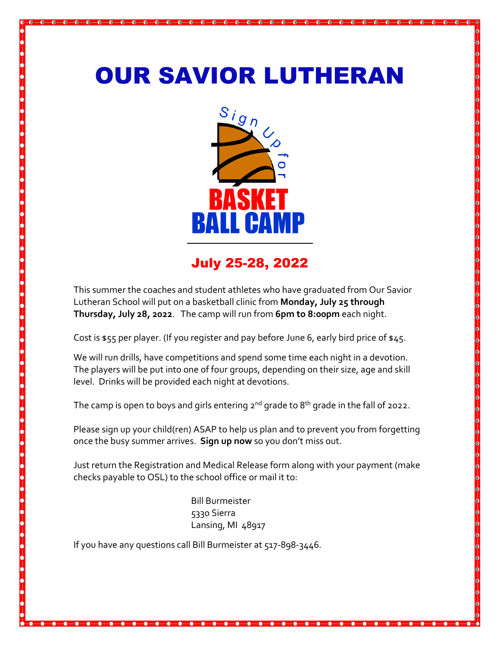## OUR SAVIOR LUTHERAN



## July 25-28, 2022

This summer the coaches and student athletes who have graduated from Our Savior Lutheran School will put on a basketball clinic from **Monday, July 25 through Thursday, July 28, 2022**. The camp will run from **6pm to 8:00pm** each night.

Cost is \$55 per player. (If you register and pay before June 6, early bird price of \$45.

We will run drills, have competitions and spend some time each night in a devotion. The players will be put into one of four groups, depending on their size, age and skill level. Drinks will be provided each night at devotions.

The camp is open to boys and girls entering  $2^{nd}$  grade to  $8^{th}$  grade in the fall of 2022.

Please sign up your child(ren) ASAP to help us plan and to prevent you from forgetting once the busy summer arrives. **Sign up now** so you don't miss out.

Just return the Registration and Medical Release form along with your payment (make checks payable to OSL) to the school office or mail it to:

> Bill Burmeister 5330 Sierra Lansing, MI 48917

If you have any questions call Bill Burmeister at 517-898-3446.